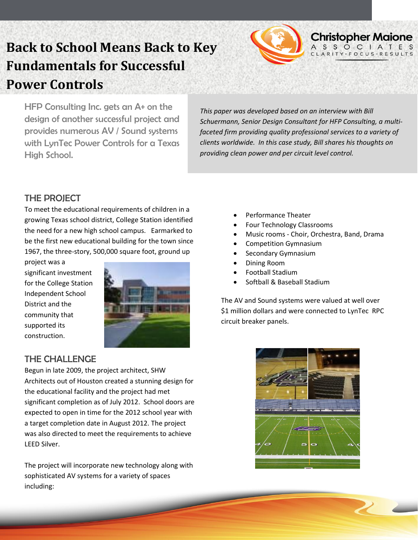

# **Back to School Means Back to Key Fundamentals for Successful Power Controls**

HFP Consulting Inc. gets an A+ on the design of another successful project and provides numerous AV / Sound systems with LynTec Power Controls for a Texas High School.

*This paper was developed based on an interview with Bill Schuermann, Senior Design Consultant for HFP Consulting, a multifaceted firm providing quality professional services to a variety of clients worldwide. In this case study, Bill shares his thoughts on providing clean power and per circuit level control.*

### THE PROJECT

To meet the educational requirements of children in a growing Texas school district, College Station identified the need for a new high school campus. Earmarked to be the first new educational building for the town since 1967, the three-story, 500,000 square foot, ground up

project was a significant investment significant investment<br>for the College Station Independent School District and the community that supported its construction.



### THE CHALLENGE

Begun in late 2009, the project architect, SHW Architects out of Houston created a stunning design for the educational facility and the project had met significant completion as of July 2012. School doors are expected to open in time for the 2012 school year with a target completion date in August 2012. The project was also directed to meet the requirements to achieve LEED Silver.

The project will incorporate new technology along with sophisticated AV systems for a variety of spaces including:

- Performance Theater
- Four Technology Classrooms
- Music rooms Choir, Orchestra, Band, Drama
- Competition Gymnasium
- Secondary Gymnasium
- Dining Room
- Football Stadium
- Softball & Baseball Stadium

The AV and Sound systems were valued at well over \$1 million dollars and were connected to LynTec RPC circuit breaker panels.

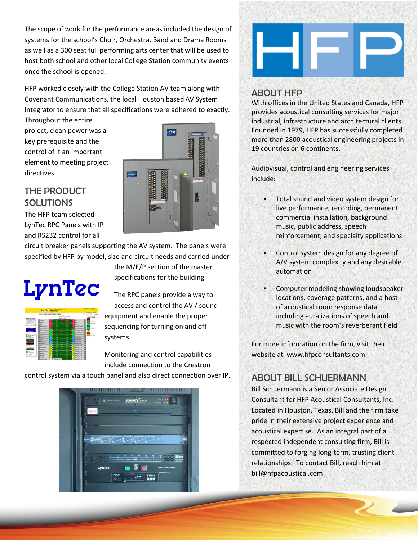The scope of work for the performance areas included the design of systems for the school's Choir, Orchestra, Band and Drama Rooms as well as a 300 seat full performing arts center that will be used to host both school and other local College Station community events once the school is opened.

HFP worked closely with the College Station AV team along with Covenant Communications, the local Houston based AV System Integrator to ensure that all specifications were adhered to exactly.

Throughout the entire project, clean power was a key prerequisite and the control of it an important element to meeting project directives.

## THE PRODUCT **SOLUTIONS**

The HFP team selected LynTec RPC Panels with IP and RS232 control for all



circuit breaker panels supporting the AV system. The panels were specified by HFP by model, size and circuit needs and carried under

# LynTec

the M/E/P section of the master specifications for the building.

The RPC panels provide a way to access and control the AV / sound equipment and enable the proper sequencing for turning on and off systems.

Monitoring and control capabilities include connection to the Crestron

control system via a touch panel and also direct connection over IP.





# ABOUT HFP

With offices in the United States and Canada, HFP provides acoustical consulting services for major industrial, infrastructure and architectural clients. Founded in 1979, HFP has successfully completed more than 2800 acoustical engineering projects in 19 countries on 6 continents.

Audiovisual, control and engineering services include:

- Total sound and video system design for live performance, recording, permanent commercial installation, background music, public address, speech reinforcement, and specialty applications
- Control system design for any degree of A/V system complexity and any desirable automation
- Computer modeling showing loudspeaker locations, coverage patterns, and a host of acoustical room response data including auralizations of speech and music with the room's reverberant field

For more information on the firm, visit their website at www.hfpconsultants.com.

# ABOUT BILL SCHUERMANN

Bill Schuermann is a Senior Associate Design Consultant for HFP Acoustical Consultants, Inc. Located in Houston, Texas, Bill and the firm take pride in their extensive project experience and acoustical expertise. As an integral part of a respected independent consulting firm, Bill is committed to forging long-term, trusting client relationships. To contact Bill, reach him at [bill@hfpacoustical.com.](mailto:bill@hfpacoustical.com)